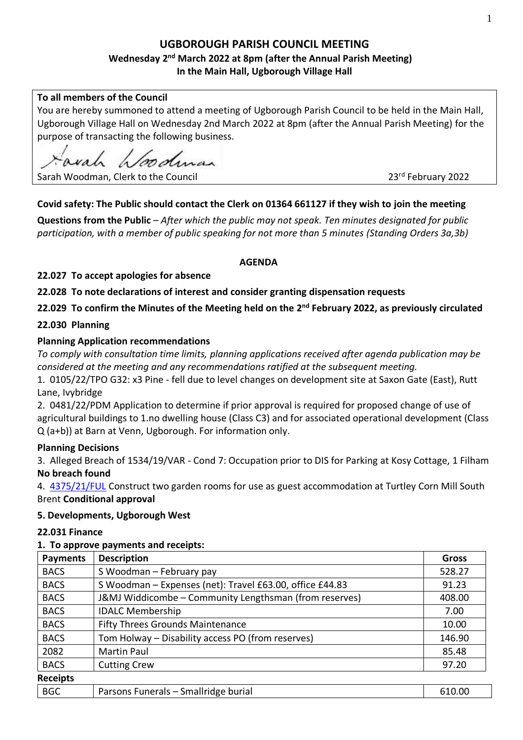# **UGBOROUGH PARISH COUNCIL MEETING**

# **Wednesday 2 nd March 2022 at 8pm (after the Annual Parish Meeting) In the Main Hall, Ugborough Village Hall**

### **To all members of the Council**

You are hereby summoned to attend a meeting of Ugborough Parish Council to be held in the Main Hall, Ugborough Village Hall on Wednesday 2nd March 2022 at 8pm (after the Annual Parish Meeting) for the purpose of transacting the following business.

Sarah Woodman, Clerk to the Council

23rd February 2022

# **Covid safety: The Public should contact the Clerk on 01364 661127 if they wish to join the meeting**

**Questions from the Public** – *After which the public may not speak. Ten minutes designated for public participation, with a member of public speaking for not more than 5 minutes (Standing Orders 3a,3b)*

#### **AGENDA**

**22.027 To accept apologies for absence**

**22.028 To note declarations of interest and consider granting dispensation requests** 

**22.029 To confirm the Minutes of the Meeting held on the 2 nd February 2022, as previously circulated**

#### **22.030 Planning**

#### **Planning Application recommendations**

*To comply with consultation time limits, planning applications received after agenda publication may be considered at the meeting and any recommendations ratified at the subsequent meeting.*

1. 0105/22/TPO G32: x3 Pine - fell due to level changes on development site at Saxon Gate (East), Rutt Lane, Ivybridge

2. 0481/22/PDM Application to determine if prior approval is required for proposed change of use of agricultural buildings to 1.no dwelling house (Class C3) and for associated operational development (Class Q (a+b)) at Barn at Venn, Ugborough. For information only.

#### **Planning Decisions**

3. Alleged Breach of 1534/19/VAR - Cond 7: Occupation prior to DIS for Parking at Kosy Cottage, 1 Filham **No breach found**

4. [4375/21/FUL](http://apps.southhams.gov.uk/PlanningSearchMVC/Home/Details/214375) Construct two garden rooms for use as guest accommodation at Turtley Corn Mill South Brent **Conditional approval**

#### **5. Developments, Ugborough West**

#### **22.031 Finance**

#### **1. To approve payments and receipts:**

| <b>Payments</b> | <b>Description</b>                                       | <b>Gross</b> |
|-----------------|----------------------------------------------------------|--------------|
| <b>BACS</b>     | S Woodman - February pay                                 | 528.27       |
| <b>BACS</b>     | S Woodman - Expenses (net): Travel £63.00, office £44.83 | 91.23        |
| <b>BACS</b>     | J&MJ Widdicombe - Community Lengthsman (from reserves)   | 408.00       |
| <b>BACS</b>     | <b>IDALC Membership</b>                                  | 7.00         |
| <b>BACS</b>     | <b>Fifty Threes Grounds Maintenance</b>                  | 10.00        |
| <b>BACS</b>     | Tom Holway - Disability access PO (from reserves)        | 146.90       |
| 2082            | Martin Paul                                              | 85.48        |
| <b>BACS</b>     | <b>Cutting Crew</b>                                      | 97.20        |
| <b>Receipts</b> |                                                          |              |
| <b>BGC</b>      | Parsons Funerals - Smallridge burial                     | 610.00       |